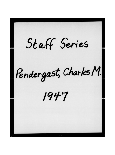Staff Series Pendergast, Charles M.  $1947$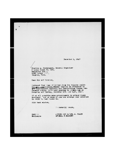December 2, 1947

il (ti

Charles M. Pendergast, General Organizer J Local Union Ho. 667, Teansters Bld.., 1190 "slker Ave., Memphis, Tenn.

Dear Sir and Prother,

Enclosed find copy of letter from the Atlanta Duild-<br>ing and Construction Trades Council in reference to<br>the Coutheastern Building and Construction Trades Conference holdin, it's next meeting in Hirmin ham on Saturday and Sunday, December 13th and 14th, 1947.

If at all possible make arrangements to attend these meetings. Lat ae know if you can arrange your schedule in order to take these in.

With best wishes,

Fraternally yours,

TEF/ Enclosure ACTING FOR DATIEL J. TODIN GETERAL PAESIDENT